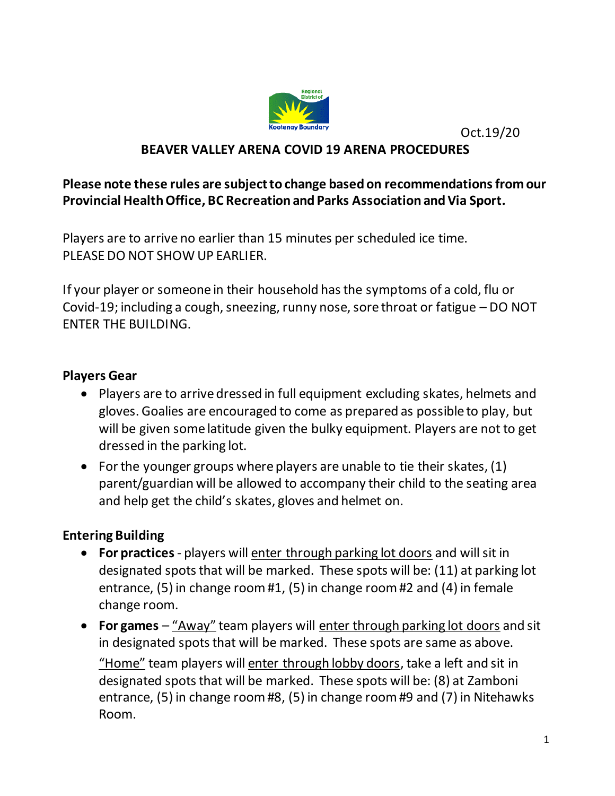

Oct.19/20

#### **BEAVER VALLEY ARENA COVID 19 ARENA PROCEDURES**

#### **Please note these rules are subject to change based on recommendations from our Provincial Health Office, BC Recreation and Parks Association and Via Sport.**

Players are to arrive no earlier than 15 minutes per scheduled ice time. PLEASE DO NOT SHOW UP EARLIER.

If your player or someone in their household has the symptoms of a cold, flu or Covid-19; including a cough, sneezing, runny nose, sore throat or fatigue – DO NOT ENTER THE BUILDING.

#### **Players Gear**

- Players are to arrive dressed in full equipment excluding skates, helmets and gloves. Goalies are encouraged to come as prepared as possible to play, but will be given some latitude given the bulky equipment. Players are not to get dressed in the parking lot.
- For the younger groups where players are unable to tie their skates, (1) parent/guardian will be allowed to accompany their child to the seating area and help get the child's skates, gloves and helmet on.

#### **Entering Building**

- **For practices** players will enter through parking lot doors and will sit in designated spots that will be marked. These spots will be: (11) at parking lot entrance, (5) in change room #1, (5) in change room #2 and (4) in female change room.
- **For games** "Away" team players will enter through parking lot doors and sit in designated spots that will be marked. These spots are same as above. "Home" team players will enter through lobby doors, take a left and sit in designated spots that will be marked. These spots will be: (8) at Zamboni entrance, (5) in change room #8, (5) in change room #9 and (7) in Nitehawks Room.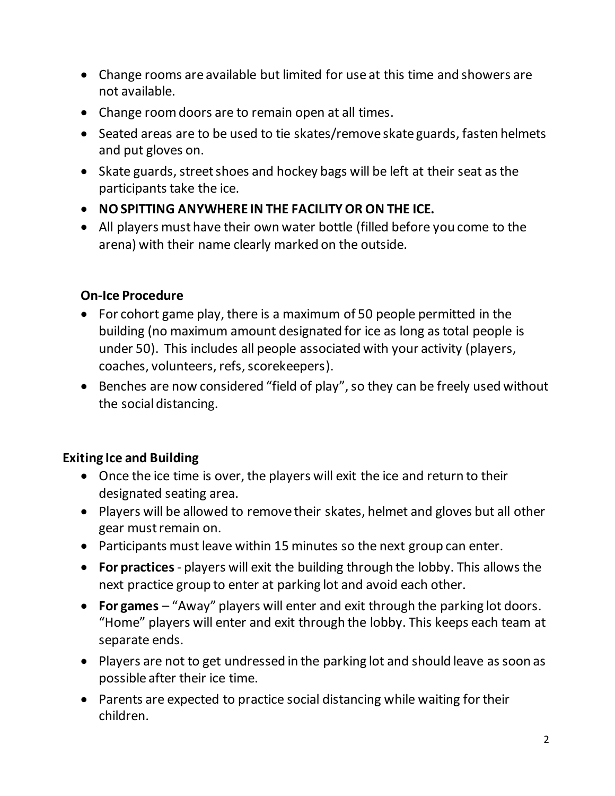- Change rooms are available but limited for use at this time and showers are not available.
- Change room doors are to remain open at all times.
- Seated areas are to be used to tie skates/remove skate guards, fasten helmets and put gloves on.
- Skate guards, street shoes and hockey bags will be left at their seat as the participants take the ice.
- **NO SPITTING ANYWHERE IN THE FACILITY OR ON THE ICE.**
- All players must have their own water bottle (filled before you come to the arena) with their name clearly marked on the outside.

#### **On-Ice Procedure**

- For cohort game play, there is a maximum of 50 people permitted in the building (no maximum amount designated for ice as long as total people is under 50). This includes all people associated with your activity (players, coaches, volunteers, refs, scorekeepers).
- Benches are now considered "field of play", so they can be freely used without the social distancing.

# **Exiting Ice and Building**

- Once the ice time is over, the players will exit the ice and return to their designated seating area.
- Players will be allowed to remove their skates, helmet and gloves but all other gear must remain on.
- Participants must leave within 15 minutes so the next group can enter.
- **For practices** players will exit the building through the lobby. This allowsthe next practice group to enter at parking lot and avoid each other.
- **For games**  "Away" players will enter and exit through the parking lot doors. "Home" players will enter and exit through the lobby. This keeps each team at separate ends.
- Players are not to get undressed in the parking lot and should leave as soon as possible after their ice time.
- Parents are expected to practice social distancing while waiting for their children.